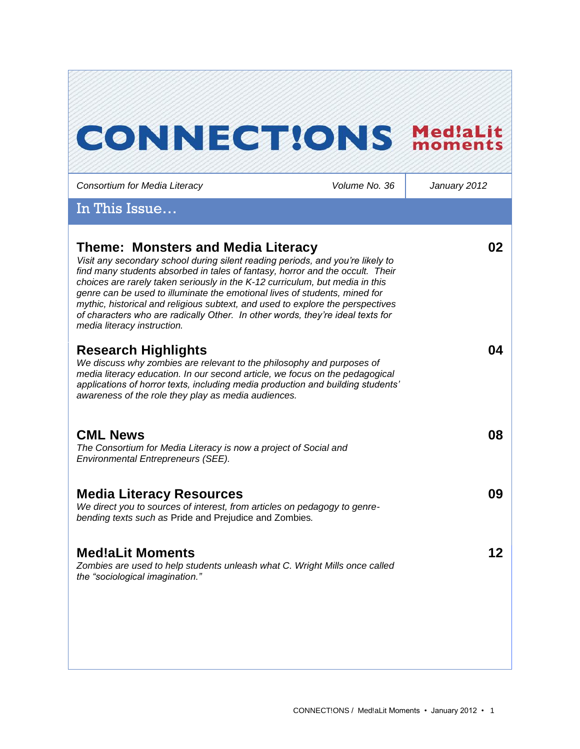# **CONNECT!ONS MediaLit**

*Consortium for Media Literacy Volume No. 36 January 2012* In This Issue… **Theme: Monsters and Media Literacy**  *Visit any secondary school during silent reading periods, and you're likely to find many students absorbed in tales of fantasy, horror and the occult. Their choices are rarely taken seriously in the K-12 curriculum, but media in this genre can be used to illuminate the emotional lives of students, mined for mythic, historical and religious subtext, and used to explore the perspectives of characters who are radically Other. In other words, they're ideal texts for media literacy instruction.*  **02 Research Highlights** *We discuss why zombies are relevant to the philosophy and purposes of media literacy education. In our second article, we focus on the pedagogical applications of horror texts, including media production and building students' awareness of the role they play as media audiences.*  **04 CML News**  *The Consortium for Media Literacy is now a project of Social and Environmental Entrepreneurs (SEE).*  **08 Media Literacy Resources** *We direct you to sources of interest, from articles on pedagogy to genrebending texts such as* Pride and Prejudice and Zombies*.*  **09 Med!aLit Moments** *Zombies are used to help students unleash what C. Wright Mills once called the "sociological imagination."*  **12**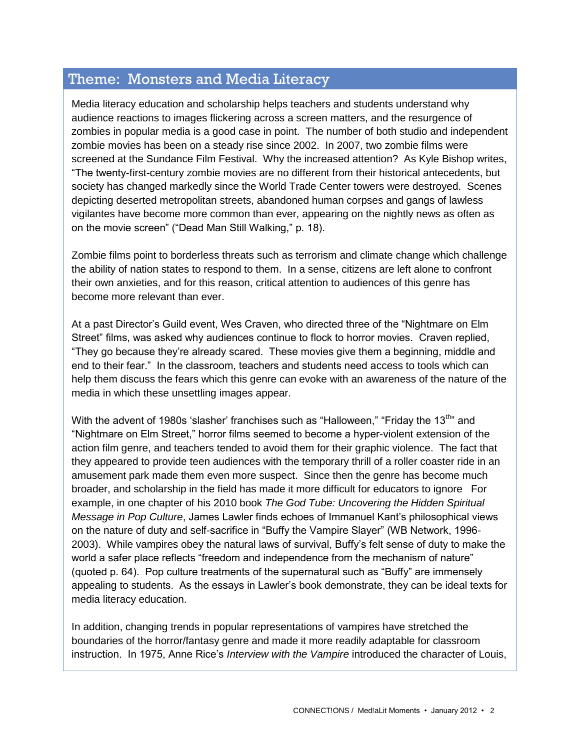# Theme: Monsters and Media Literacy

Media literacy education and scholarship helps teachers and students understand why audience reactions to images flickering across a screen matters, and the resurgence of zombies in popular media is a good case in point. The number of both studio and independent zombie movies has been on a steady rise since 2002. In 2007, two zombie films were screened at the Sundance Film Festival. Why the increased attention? As Kyle Bishop writes, "The twenty-first-century zombie movies are no different from their historical antecedents, but society has changed markedly since the World Trade Center towers were destroyed. Scenes depicting deserted metropolitan streets, abandoned human corpses and gangs of lawless vigilantes have become more common than ever, appearing on the nightly news as often as on the movie screen" ("Dead Man Still Walking," p. 18).

Zombie films point to borderless threats such as terrorism and climate change which challenge the ability of nation states to respond to them. In a sense, citizens are left alone to confront their own anxieties, and for this reason, critical attention to audiences of this genre has become more relevant than ever.

At a past Director"s Guild event, Wes Craven, who directed three of the "Nightmare on Elm Street" films, was asked why audiences continue to flock to horror movies. Craven replied, "They go because they"re already scared. These movies give them a beginning, middle and end to their fear." In the classroom, teachers and students need access to tools which can help them discuss the fears which this genre can evoke with an awareness of the nature of the media in which these unsettling images appear.

With the advent of 1980s 'slasher' franchises such as "Halloween," "Friday the 13<sup>th</sup>" and "Nightmare on Elm Street," horror films seemed to become a hyper-violent extension of the action film genre, and teachers tended to avoid them for their graphic violence. The fact that they appeared to provide teen audiences with the temporary thrill of a roller coaster ride in an amusement park made them even more suspect. Since then the genre has become much broader, and scholarship in the field has made it more difficult for educators to ignore For example, in one chapter of his 2010 book *The God Tube: Uncovering the Hidden Spiritual Message in Pop Culture*, James Lawler finds echoes of Immanuel Kant"s philosophical views on the nature of duty and self-sacrifice in "Buffy the Vampire Slayer" (WB Network, 1996- 2003). While vampires obey the natural laws of survival, Buffy"s felt sense of duty to make the world a safer place reflects "freedom and independence from the mechanism of nature" (quoted p. 64). Pop culture treatments of the supernatural such as "Buffy" are immensely appealing to students. As the essays in Lawler"s book demonstrate, they can be ideal texts for media literacy education.

In addition, changing trends in popular representations of vampires have stretched the boundaries of the horror/fantasy genre and made it more readily adaptable for classroom instruction. In 1975, Anne Rice"s *Interview with the Vampire* introduced the character of Louis,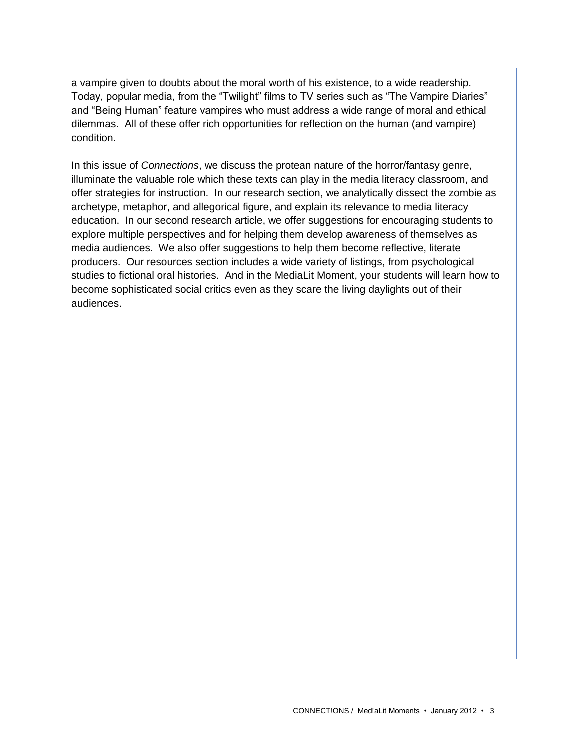a vampire given to doubts about the moral worth of his existence, to a wide readership. Today, popular media, from the "Twilight" films to TV series such as "The Vampire Diaries" and "Being Human" feature vampires who must address a wide range of moral and ethical dilemmas. All of these offer rich opportunities for reflection on the human (and vampire) condition.

In this issue of *Connections*, we discuss the protean nature of the horror/fantasy genre, illuminate the valuable role which these texts can play in the media literacy classroom, and offer strategies for instruction. In our research section, we analytically dissect the zombie as archetype, metaphor, and allegorical figure, and explain its relevance to media literacy education. In our second research article, we offer suggestions for encouraging students to explore multiple perspectives and for helping them develop awareness of themselves as media audiences. We also offer suggestions to help them become reflective, literate producers. Our resources section includes a wide variety of listings, from psychological studies to fictional oral histories. And in the MediaLit Moment, your students will learn how to become sophisticated social critics even as they scare the living daylights out of their audiences.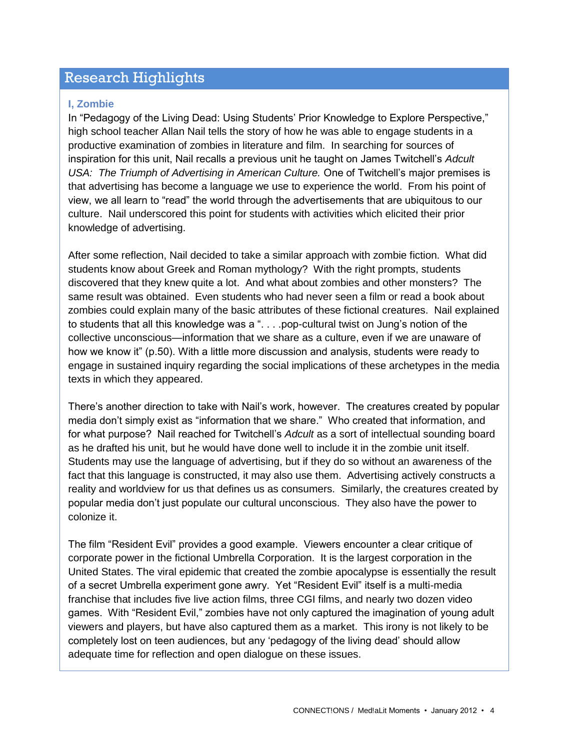## Research Highlights

#### **I, Zombie**

In "Pedagogy of the Living Dead: Using Students" Prior Knowledge to Explore Perspective," high school teacher Allan Nail tells the story of how he was able to engage students in a productive examination of zombies in literature and film. In searching for sources of inspiration for this unit, Nail recalls a previous unit he taught on James Twitchell"s *Adcult USA: The Triumph of Advertising in American Culture.* One of Twitchell"s major premises is that advertising has become a language we use to experience the world. From his point of view, we all learn to "read" the world through the advertisements that are ubiquitous to our culture. Nail underscored this point for students with activities which elicited their prior knowledge of advertising.

After some reflection, Nail decided to take a similar approach with zombie fiction. What did students know about Greek and Roman mythology? With the right prompts, students discovered that they knew quite a lot. And what about zombies and other monsters? The same result was obtained. Even students who had never seen a film or read a book about zombies could explain many of the basic attributes of these fictional creatures. Nail explained to students that all this knowledge was a ". . . .pop-cultural twist on Jung's notion of the collective unconscious—information that we share as a culture, even if we are unaware of how we know it" (p.50). With a little more discussion and analysis, students were ready to engage in sustained inquiry regarding the social implications of these archetypes in the media texts in which they appeared.

There"s another direction to take with Nail"s work, however. The creatures created by popular media don"t simply exist as "information that we share." Who created that information, and for what purpose? Nail reached for Twitchell"s *Adcult* as a sort of intellectual sounding board as he drafted his unit, but he would have done well to include it in the zombie unit itself. Students may use the language of advertising, but if they do so without an awareness of the fact that this language is constructed, it may also use them. Advertising actively constructs a reality and worldview for us that defines us as consumers. Similarly, the creatures created by popular media don"t just populate our cultural unconscious. They also have the power to colonize it.

The film "Resident Evil" provides a good example. Viewers encounter a clear critique of corporate power in the fictional Umbrella Corporation. It is the largest corporation in the United States. The viral epidemic that created the zombie apocalypse is essentially the result of a secret Umbrella experiment gone awry. Yet "Resident Evil" itself is a multi-media franchise that includes five live action films, three CGI films, and nearly two dozen video games. With "Resident Evil," zombies have not only captured the imagination of young adult viewers and players, but have also captured them as a market. This irony is not likely to be completely lost on teen audiences, but any "pedagogy of the living dead" should allow adequate time for reflection and open dialogue on these issues.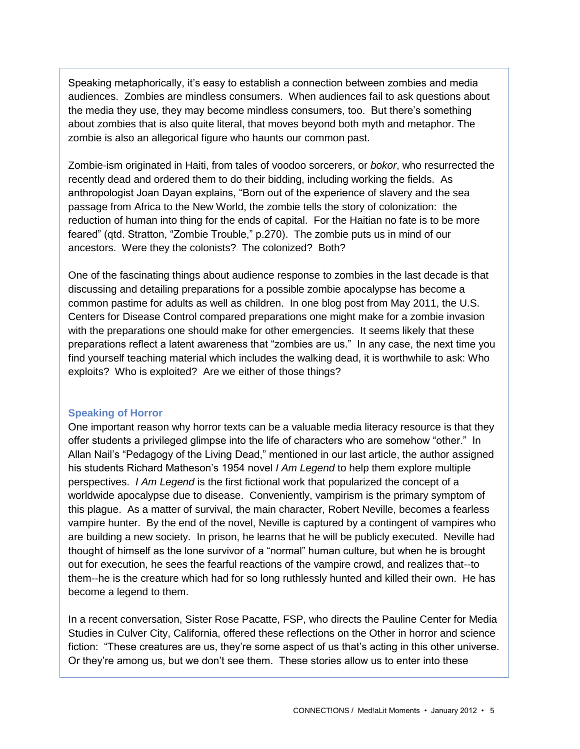Speaking metaphorically, it"s easy to establish a connection between zombies and media audiences. Zombies are mindless consumers. When audiences fail to ask questions about the media they use, they may become mindless consumers, too. But there"s something about zombies that is also quite literal, that moves beyond both myth and metaphor. The zombie is also an allegorical figure who haunts our common past.

Zombie-ism originated in Haiti, from tales of voodoo sorcerers, or *bokor*, who resurrected the recently dead and ordered them to do their bidding, including working the fields. As anthropologist Joan Dayan explains, "Born out of the experience of slavery and the sea passage from Africa to the New World, the zombie tells the story of colonization: the reduction of human into thing for the ends of capital. For the Haitian no fate is to be more feared" (qtd. Stratton, "Zombie Trouble," p.270). The zombie puts us in mind of our ancestors. Were they the colonists? The colonized? Both?

One of the fascinating things about audience response to zombies in the last decade is that discussing and detailing preparations for a possible zombie apocalypse has become a common pastime for adults as well as children. In one blog post from May 2011, the U.S. Centers for Disease Control compared preparations one might make for a zombie invasion with the preparations one should make for other emergencies. It seems likely that these preparations reflect a latent awareness that "zombies are us." In any case, the next time you find yourself teaching material which includes the walking dead, it is worthwhile to ask: Who exploits? Who is exploited? Are we either of those things?

#### **Speaking of Horror**

One important reason why horror texts can be a valuable media literacy resource is that they offer students a privileged glimpse into the life of characters who are somehow "other." In Allan Nail"s "Pedagogy of the Living Dead," mentioned in our last article, the author assigned his students Richard Matheson"s 1954 novel *I Am Legend* to help them explore multiple perspectives. *I Am Legend* is the first fictional work that popularized the concept of a worldwide apocalypse due to disease. Conveniently, vampirism is the primary symptom of this plague. As a matter of survival, the main character, Robert Neville, becomes a fearless vampire hunter. By the end of the novel, Neville is captured by a contingent of vampires who are building a new society. In prison, he learns that he will be publicly executed. Neville had thought of himself as the lone survivor of a "normal" human culture, but when he is brought out for execution, he sees the fearful reactions of the vampire crowd, and realizes that--to them--he is the creature which had for so long ruthlessly hunted and killed their own. He has become a legend to them.

In a recent conversation, Sister Rose Pacatte, FSP, who directs the Pauline Center for Media Studies in Culver City, California, offered these reflections on the Other in horror and science fiction: "These creatures are us, they're some aspect of us that's acting in this other universe. Or they"re among us, but we don"t see them. These stories allow us to enter into these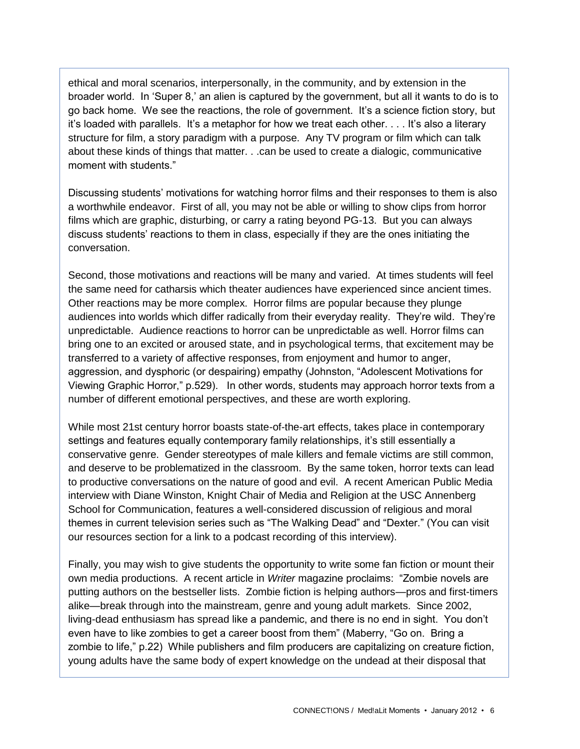ethical and moral scenarios, interpersonally, in the community, and by extension in the broader world. In "Super 8," an alien is captured by the government, but all it wants to do is to go back home. We see the reactions, the role of government. It"s a science fiction story, but it's loaded with parallels. It's a metaphor for how we treat each other.... It's also a literary structure for film, a story paradigm with a purpose. Any TV program or film which can talk about these kinds of things that matter. . .can be used to create a dialogic, communicative moment with students."

Discussing students" motivations for watching horror films and their responses to them is also a worthwhile endeavor. First of all, you may not be able or willing to show clips from horror films which are graphic, disturbing, or carry a rating beyond PG-13. But you can always discuss students" reactions to them in class, especially if they are the ones initiating the conversation.

Second, those motivations and reactions will be many and varied. At times students will feel the same need for catharsis which theater audiences have experienced since ancient times. Other reactions may be more complex. Horror films are popular because they plunge audiences into worlds which differ radically from their everyday reality. They"re wild. They"re unpredictable. Audience reactions to horror can be unpredictable as well. Horror films can bring one to an excited or aroused state, and in psychological terms, that excitement may be transferred to a variety of affective responses, from enjoyment and humor to anger, aggression, and dysphoric (or despairing) empathy (Johnston, "Adolescent Motivations for Viewing Graphic Horror," p.529). In other words, students may approach horror texts from a number of different emotional perspectives, and these are worth exploring.

While most 21st century horror boasts state-of-the-art effects, takes place in contemporary settings and features equally contemporary family relationships, it's still essentially a conservative genre. Gender stereotypes of male killers and female victims are still common, and deserve to be problematized in the classroom. By the same token, horror texts can lead to productive conversations on the nature of good and evil. A recent American Public Media interview with Diane Winston, Knight Chair of Media and Religion at the USC Annenberg School for Communication, features a well-considered discussion of religious and moral themes in current television series such as "The Walking Dead" and "Dexter." (You can visit our resources section for a link to a podcast recording of this interview).

Finally, you may wish to give students the opportunity to write some fan fiction or mount their own media productions. A recent article in *Writer* magazine proclaims: "Zombie novels are putting authors on the bestseller lists. Zombie fiction is helping authors—pros and first-timers alike—break through into the mainstream, genre and young adult markets. Since 2002, living-dead enthusiasm has spread like a pandemic, and there is no end in sight. You don"t even have to like zombies to get a career boost from them" (Maberry, "Go on. Bring a zombie to life," p.22) While publishers and film producers are capitalizing on creature fiction, young adults have the same body of expert knowledge on the undead at their disposal that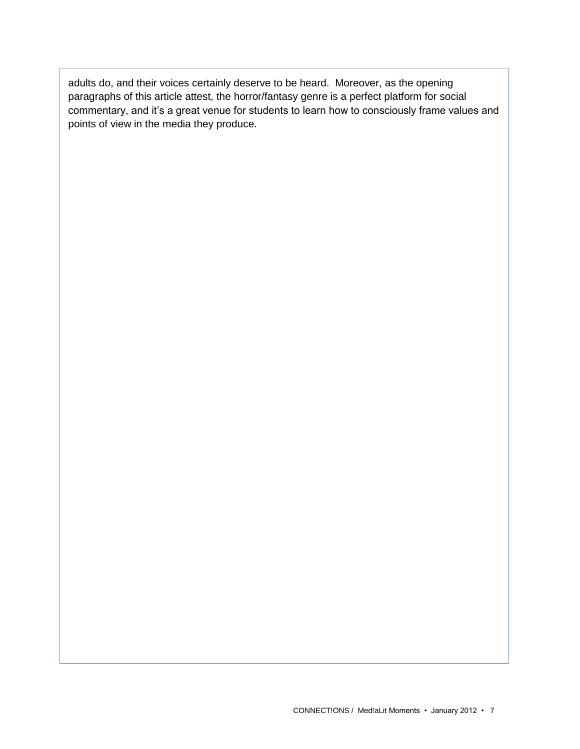adults do, and their voices certainly deserve to be heard. Moreover, as the opening paragraphs of this article attest, the horror/fantasy genre is a perfect platform for social commentary, and it's a great venue for students to learn how to consciously frame values and points of view in the media they produce.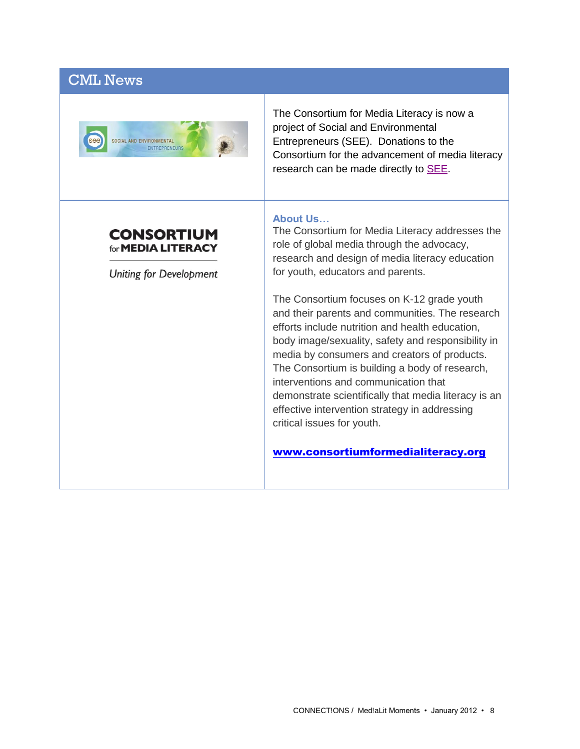# CML News



The Consortium for Media Literacy is now a project of Social and Environmental Entrepreneurs (SEE). Donations to the Consortium for the advancement of media literacy research can be made directly to **SEE**.

## **CONSORTIUM** for **MEDIA LITERACY**

**Uniting for Development** 

### **About Us…**

The Consortium for Media Literacy addresses the role of global media through the advocacy, research and design of media literacy education for youth, educators and parents.

The Consortium focuses on K-12 grade youth and their parents and communities. The research efforts include nutrition and health education, body image/sexuality, safety and responsibility in media by consumers and creators of products. The Consortium is building a body of research, interventions and communication that demonstrate scientifically that media literacy is an effective intervention strategy in addressing critical issues for youth.

[www.consortiumformedialiteracy.org](http://www.consortiumformedialiteracy.org/)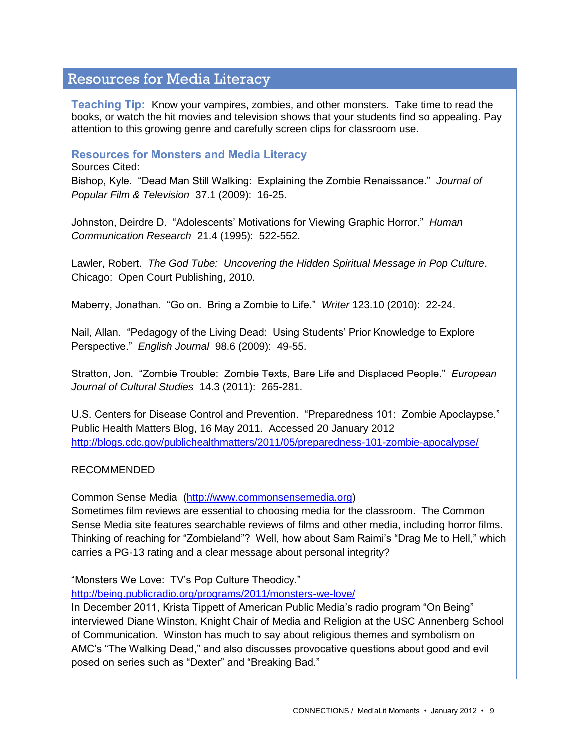## Resources for Media Literacy

**Teaching Tip:** Know your vampires, zombies, and other monsters. Take time to read the books, or watch the hit movies and television shows that your students find so appealing. Pay attention to this growing genre and carefully screen clips for classroom use.

## **Resources for Monsters and Media Literacy**

Sources Cited:

Bishop, Kyle. "Dead Man Still Walking: Explaining the Zombie Renaissance." *Journal of Popular Film & Television* 37.1 (2009): 16-25.

Johnston, Deirdre D. "Adolescents" Motivations for Viewing Graphic Horror." *Human Communication Research* 21.4 (1995): 522-552.

Lawler, Robert. *The God Tube: Uncovering the Hidden Spiritual Message in Pop Culture*. Chicago: Open Court Publishing, 2010.

Maberry, Jonathan. "Go on. Bring a Zombie to Life." *Writer* 123.10 (2010): 22-24.

Nail, Allan. "Pedagogy of the Living Dead: Using Students" Prior Knowledge to Explore Perspective." *English Journal* 98.6 (2009): 49-55.

Stratton, Jon. "Zombie Trouble: Zombie Texts, Bare Life and Displaced People." *European Journal of Cultural Studies* 14.3 (2011): 265-281.

U.S. Centers for Disease Control and Prevention. "Preparedness 101: Zombie Apoclaypse." Public Health Matters Blog, 16 May 2011. Accessed 20 January 2012 <http://blogs.cdc.gov/publichealthmatters/2011/05/preparedness-101-zombie-apocalypse/>

#### RECOMMENDED

Common Sense Media [\(http://www.commonsensemedia.org\)](http://www.commonsensemedia.org/)

Sometimes film reviews are essential to choosing media for the classroom. The Common Sense Media site features searchable reviews of films and other media, including horror films. Thinking of reaching for "Zombieland"? Well, how about Sam Raimi"s "Drag Me to Hell," which carries a PG-13 rating and a clear message about personal integrity?

"Monsters We Love: TV"s Pop Culture Theodicy."

<http://being.publicradio.org/programs/2011/monsters-we-love/>

In December 2011, Krista Tippett of American Public Media"s radio program "On Being" interviewed Diane Winston, Knight Chair of Media and Religion at the USC Annenberg School of Communication. Winston has much to say about religious themes and symbolism on AMC"s "The Walking Dead," and also discusses provocative questions about good and evil posed on series such as "Dexter" and "Breaking Bad."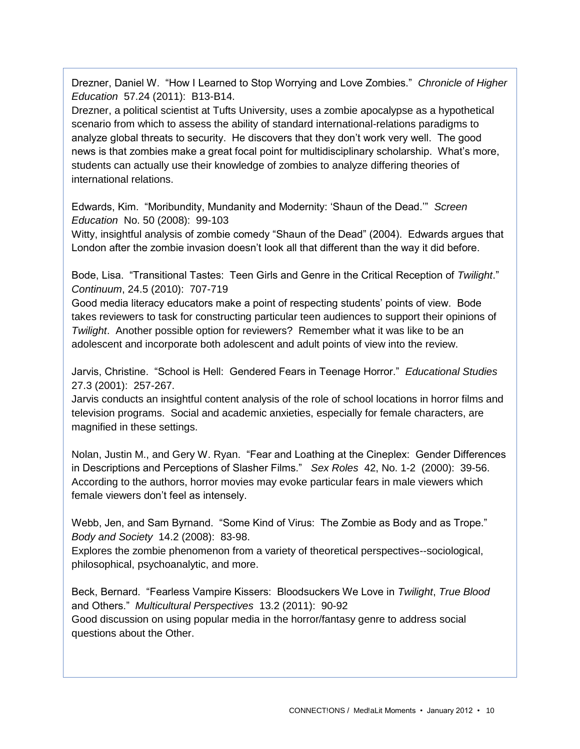Drezner, Daniel W. "How I Learned to Stop Worrying and Love Zombies." *Chronicle of Higher Education* 57.24 (2011): B13-B14.

Drezner, a political scientist at Tufts University, uses a zombie apocalypse as a hypothetical scenario from which to assess the ability of standard international-relations paradigms to analyze global threats to security. He discovers that they don"t work very well. The good news is that zombies make a great focal point for multidisciplinary scholarship. What"s more, students can actually use their knowledge of zombies to analyze differing theories of international relations.

Edwards, Kim. "Moribundity, Mundanity and Modernity: "Shaun of the Dead."" *Screen Education* No. 50 (2008): 99-103

Witty, insightful analysis of zombie comedy "Shaun of the Dead" (2004). Edwards argues that London after the zombie invasion doesn"t look all that different than the way it did before.

Bode, Lisa. "Transitional Tastes: Teen Girls and Genre in the Critical Reception of *Twilight*." *Continuum*, 24.5 (2010): 707-719

Good media literacy educators make a point of respecting students" points of view. Bode takes reviewers to task for constructing particular teen audiences to support their opinions of *Twilight*. Another possible option for reviewers? Remember what it was like to be an adolescent and incorporate both adolescent and adult points of view into the review.

Jarvis, Christine. "School is Hell: Gendered Fears in Teenage Horror." *Educational Studies* 27.3 (2001): 257-267.

Jarvis conducts an insightful content analysis of the role of school locations in horror films and television programs. Social and academic anxieties, especially for female characters, are magnified in these settings.

Nolan, Justin M., and Gery W. Ryan. "Fear and Loathing at the Cineplex: Gender Differences in Descriptions and Perceptions of Slasher Films." *Sex Roles* 42, No. 1-2 (2000): 39-56. According to the authors, horror movies may evoke particular fears in male viewers which female viewers don"t feel as intensely.

Webb, Jen, and Sam Byrnand. "Some Kind of Virus: The Zombie as Body and as Trope." *Body and Society* 14.2 (2008): 83-98.

Explores the zombie phenomenon from a variety of theoretical perspectives--sociological, philosophical, psychoanalytic, and more.

Beck, Bernard. "Fearless Vampire Kissers: Bloodsuckers We Love in *Twilight*, *True Blood* and Others." *Multicultural Perspectives* 13.2 (2011): 90-92 Good discussion on using popular media in the horror/fantasy genre to address social questions about the Other.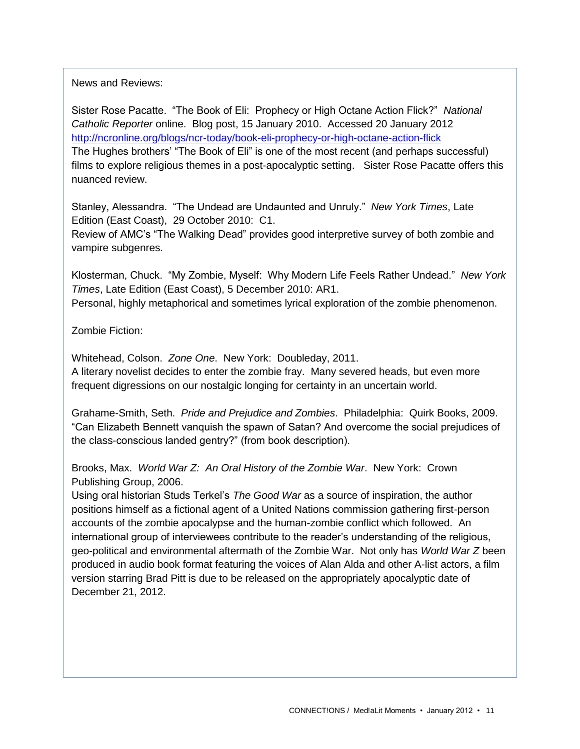News and Reviews:

Sister Rose Pacatte. "The Book of Eli: Prophecy or High Octane Action Flick?" *National Catholic Reporter* online. Blog post, 15 January 2010. Accessed 20 January 2012 <http://ncronline.org/blogs/ncr-today/book-eli-prophecy-or-high-octane-action-flick> The Hughes brothers' "The Book of Eli" is one of the most recent (and perhaps successful) films to explore religious themes in a post-apocalyptic setting. Sister Rose Pacatte offers this nuanced review.

Stanley, Alessandra. "The Undead are Undaunted and Unruly." *New York Times*, Late Edition (East Coast), 29 October 2010: C1.

Review of AMC"s "The Walking Dead" provides good interpretive survey of both zombie and vampire subgenres.

Klosterman, Chuck. "My Zombie, Myself: Why Modern Life Feels Rather Undead." *New York Times*, Late Edition (East Coast), 5 December 2010: AR1. Personal, highly metaphorical and sometimes lyrical exploration of the zombie phenomenon.

Zombie Fiction:

Whitehead, Colson. *Zone One*. New York: Doubleday, 2011. A literary novelist decides to enter the zombie fray. Many severed heads, but even more frequent digressions on our nostalgic longing for certainty in an uncertain world.

Grahame-Smith, Seth. *Pride and Prejudice and Zombies*. Philadelphia: Quirk Books, 2009. "Can Elizabeth Bennett vanquish the spawn of Satan? And overcome the social prejudices of the class-conscious landed gentry?" (from book description).

Brooks, Max. *World War Z: An Oral History of the Zombie War*. New York: Crown Publishing Group, 2006.

Using oral historian Studs Terkel"s *The Good War* as a source of inspiration, the author positions himself as a fictional agent of a United Nations commission gathering first-person accounts of the zombie apocalypse and the human-zombie conflict which followed. An international group of interviewees contribute to the reader"s understanding of the religious, geo-political and environmental aftermath of the Zombie War. Not only has *World War Z* been produced in audio book format featuring the voices of Alan Alda and other A-list actors, a film version starring Brad Pitt is due to be released on the appropriately apocalyptic date of December 21, 2012.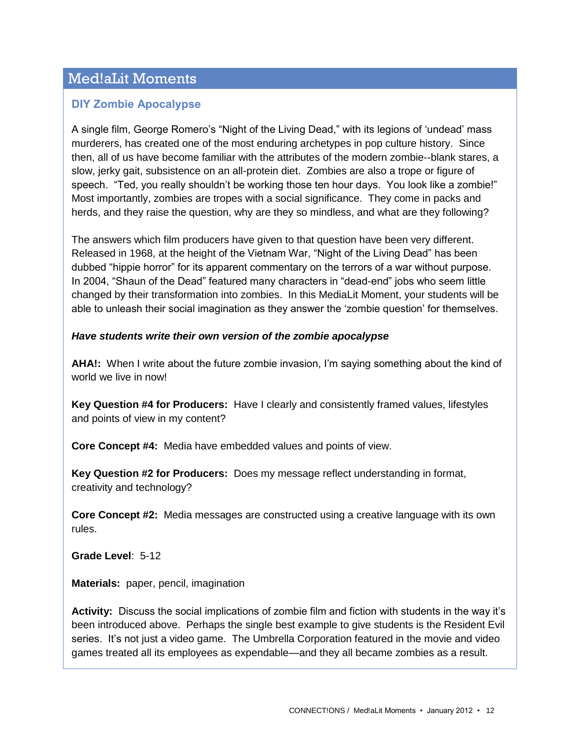# Med!aLit Moments

## **DIY Zombie Apocalypse**

A single film, George Romero's "Night of the Living Dead," with its legions of 'undead' mass murderers, has created one of the most enduring archetypes in pop culture history. Since then, all of us have become familiar with the attributes of the modern zombie--blank stares, a slow, jerky gait, subsistence on an all-protein diet. Zombies are also a trope or figure of speech. "Ted, you really shouldn"t be working those ten hour days. You look like a zombie!" Most importantly, zombies are tropes with a social significance. They come in packs and herds, and they raise the question, why are they so mindless, and what are they following?

The answers which film producers have given to that question have been very different. Released in 1968, at the height of the Vietnam War, "Night of the Living Dead" has been dubbed "hippie horror" for its apparent commentary on the terrors of a war without purpose. In 2004, "Shaun of the Dead" featured many characters in "dead-end" jobs who seem little changed by their transformation into zombies. In this MediaLit Moment, your students will be able to unleash their social imagination as they answer the "zombie question" for themselves.

#### *Have students write their own version of the zombie apocalypse*

AHA!: When I write about the future zombie invasion, I'm saying something about the kind of world we live in now!

**Key Question #4 for Producers:** Have I clearly and consistently framed values, lifestyles and points of view in my content?

**Core Concept #4:** Media have embedded values and points of view.

**Key Question #2 for Producers:** Does my message reflect understanding in format, creativity and technology?

**Core Concept #2:** Media messages are constructed using a creative language with its own rules.

**Grade Level**: 5-12

**Materials:** paper, pencil, imagination

**Activity:** Discuss the social implications of zombie film and fiction with students in the way it"s been introduced above. Perhaps the single best example to give students is the Resident Evil series. It's not just a video game. The Umbrella Corporation featured in the movie and video games treated all its employees as expendable—and they all became zombies as a result.